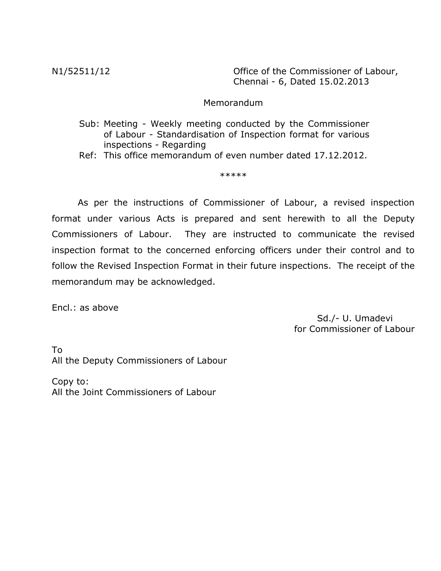N1/52511/12 Office of the Commissioner of Labour, Chennai - 6, Dated 15.02.2013

### Memorandum

 Sub: Meeting - Weekly meeting conducted by the Commissioner of Labour - Standardisation of Inspection format for various inspections - Regarding

Ref: This office memorandum of even number dated 17.12.2012.

\*\*\*\*\*

As per the instructions of Commissioner of Labour, a revised inspection format under various Acts is prepared and sent herewith to all the Deputy Commissioners of Labour. They are instructed to communicate the revised inspection format to the concerned enforcing officers under their control and to follow the Revised Inspection Format in their future inspections. The receipt of the memorandum may be acknowledged.

Encl.: as above

 Sd./- U. Umadevi for Commissioner of Labour

To All the Deputy Commissioners of Labour

Copy to: All the Joint Commissioners of Labour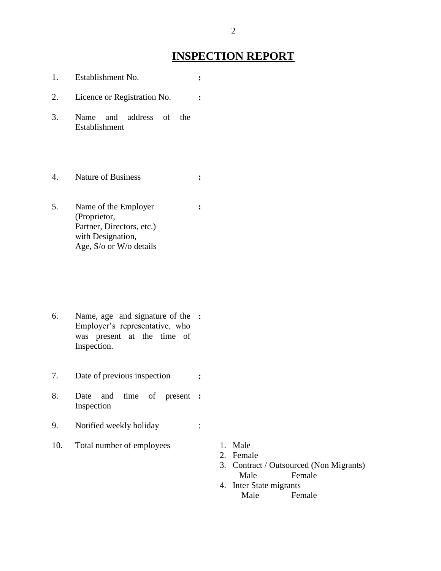# **INSPECTION REPORT**

- 1. Establishment No. **:** 2. Licence or Registration No. **:** 3. Name and address of the Establishment 4. Nature of Business **:** 5. Name of the Employer (Proprietor, Partner, Directors, etc.) with Designation, Age, S/o or W/o details **:** 6. Name, age and signature of the **:** Employer's representative, who was present at the time of Inspection. 7. Date of previous inspection **:** 8. Date and time of present **:**
- Inspection
- 9. Notified weekly holiday :
- 10. Total number of employees 1. Male
	-
	- 2. Female
	- 3. Contract / Outsourced (Non Migrants) Male Female
	- 4. Inter State migrants Male Female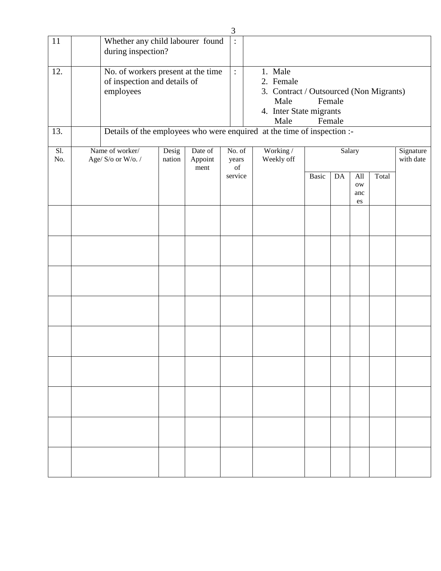|            |                                                                                 |                 |                            | 3              |                                                   |                                                                                                            |       |                  |                         |       |                        |
|------------|---------------------------------------------------------------------------------|-----------------|----------------------------|----------------|---------------------------------------------------|------------------------------------------------------------------------------------------------------------|-------|------------------|-------------------------|-------|------------------------|
| 11         | Whether any child labourer found<br>during inspection?                          |                 |                            | $\ddot{\cdot}$ |                                                   |                                                                                                            |       |                  |                         |       |                        |
| 12.        | No. of workers present at the time<br>of inspection and details of<br>employees |                 |                            | $\vdots$       |                                                   | 1. Male<br>2. Female<br>3. Contract / Outsourced (Non Migrants)<br>Male<br>4. Inter State migrants<br>Male |       | Female<br>Female |                         |       |                        |
| 13.        | Details of the employees who were enquired at the time of inspection :-         |                 |                            |                |                                                   |                                                                                                            |       |                  |                         |       |                        |
| Sl.<br>No. | Name of worker/<br>Age/ S/o or W/o./                                            | Desig<br>nation | Date of<br>Appoint<br>ment |                | No. of<br>years<br>$% \overline{a}$ of<br>service | Working/<br>Weekly off                                                                                     | Basic | Salary<br>DA     | All<br><b>OW</b><br>anc | Total | Signature<br>with date |
|            |                                                                                 |                 |                            |                |                                                   |                                                                                                            |       |                  | $\rm es$                |       |                        |
|            |                                                                                 |                 |                            |                |                                                   |                                                                                                            |       |                  |                         |       |                        |
|            |                                                                                 |                 |                            |                |                                                   |                                                                                                            |       |                  |                         |       |                        |
|            |                                                                                 |                 |                            |                |                                                   |                                                                                                            |       |                  |                         |       |                        |
|            |                                                                                 |                 |                            |                |                                                   |                                                                                                            |       |                  |                         |       |                        |
|            |                                                                                 |                 |                            |                |                                                   |                                                                                                            |       |                  |                         |       |                        |
|            |                                                                                 |                 |                            |                |                                                   |                                                                                                            |       |                  |                         |       |                        |
|            |                                                                                 |                 |                            |                |                                                   |                                                                                                            |       |                  |                         |       |                        |
|            |                                                                                 |                 |                            |                |                                                   |                                                                                                            |       |                  |                         |       |                        |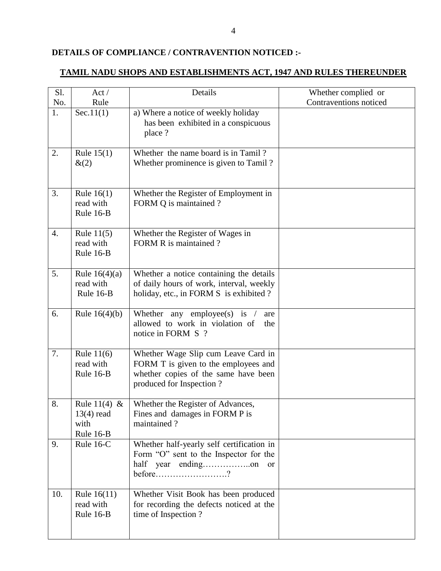### **DETAILS OF COMPLIANCE / CONTRAVENTION NOTICED :-**

### **TAMIL NADU SHOPS AND ESTABLISHMENTS ACT, 1947 AND RULES THEREUNDER**

| Sl.<br>No. | Act/<br>Rule                                      | Details                                                                                                                                         | Whether complied or<br>Contraventions noticed |
|------------|---------------------------------------------------|-------------------------------------------------------------------------------------------------------------------------------------------------|-----------------------------------------------|
| 1.         | Sec.11(1)                                         | a) Where a notice of weekly holiday<br>has been exhibited in a conspicuous<br>place ?                                                           |                                               |
| 2.         | Rule $15(1)$<br>&(2)                              | Whether the name board is in Tamil?<br>Whether prominence is given to Tamil?                                                                    |                                               |
| 3.         | Rule $16(1)$<br>read with<br>Rule 16-B            | Whether the Register of Employment in<br>FORM Q is maintained?                                                                                  |                                               |
| 4.         | Rule $11(5)$<br>read with<br>Rule 16-B            | Whether the Register of Wages in<br>FORM R is maintained?                                                                                       |                                               |
| 5.         | Rule $16(4)(a)$<br>read with<br>Rule 16-B         | Whether a notice containing the details<br>of daily hours of work, interval, weekly<br>holiday, etc., in FORM S is exhibited ?                  |                                               |
| 6.         | Rule $16(4)(b)$                                   | Whether any employee(s) is $\ell$<br>are<br>allowed to work in violation of<br>the<br>notice in FORM S ?                                        |                                               |
| 7.         | Rule $11(6)$<br>read with<br>Rule 16-B            | Whether Wage Slip cum Leave Card in<br>FORM T is given to the employees and<br>whether copies of the same have been<br>produced for Inspection? |                                               |
| 8.         | Rule 11(4) &<br>$13(4)$ read<br>with<br>Rule 16-B | Whether the Register of Advances,<br>Fines and damages in FORM P is<br>maintained?                                                              |                                               |
| 9.         | Rule 16-C                                         | Whether half-yearly self certification in<br>Form "O" sent to the Inspector for the<br>or<br>$before$ ?                                         |                                               |
| 10.        | Rule 16(11)<br>read with<br>Rule 16-B             | Whether Visit Book has been produced<br>for recording the defects noticed at the<br>time of Inspection?                                         |                                               |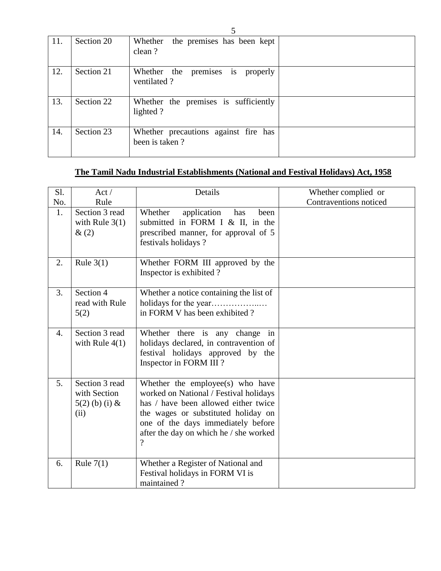| 11. | Section 20 | the premises has been kept<br>Whether<br>clean?        |  |
|-----|------------|--------------------------------------------------------|--|
| 12. | Section 21 | premises is properly<br>Whether the<br>ventilated?     |  |
| 13. | Section 22 | Whether the premises is sufficiently<br>lighted?       |  |
| 14. | Section 23 | Whether precautions against fire has<br>been is taken? |  |

# **The Tamil Nadu Industrial Establishments (National and Festival Holidays) Act, 1958**

| Sl.              | Act/                                                       | Details                                                                                                                                                                                                                                                               | Whether complied or    |
|------------------|------------------------------------------------------------|-----------------------------------------------------------------------------------------------------------------------------------------------------------------------------------------------------------------------------------------------------------------------|------------------------|
| No.              | Rule                                                       |                                                                                                                                                                                                                                                                       | Contraventions noticed |
| 1.               | Section 3 read<br>with Rule $3(1)$<br>$\&(2)$              | Whether<br>application<br>has<br>been<br>submitted in FORM I & II, in the<br>prescribed manner, for approval of 5<br>festivals holidays?                                                                                                                              |                        |
| 2.               | Rule $3(1)$                                                | Whether FORM III approved by the<br>Inspector is exhibited?                                                                                                                                                                                                           |                        |
| 3.               | Section 4<br>read with Rule<br>5(2)                        | Whether a notice containing the list of<br>in FORM V has been exhibited?                                                                                                                                                                                              |                        |
| $\overline{4}$ . | Section 3 read<br>with Rule $4(1)$                         | Whether there is any change in<br>holidays declared, in contravention of<br>festival holidays approved by the<br>Inspector in FORM III?                                                                                                                               |                        |
| 5.               | Section 3 read<br>with Section<br>$5(2)$ (b) (i) &<br>(ii) | Whether the employee(s) who have<br>worked on National / Festival holidays<br>has / have been allowed either twice<br>the wages or substituted holiday on<br>one of the days immediately before<br>after the day on which he / she worked<br>$\overline{\mathcal{L}}$ |                        |
| 6.               | Rule $7(1)$                                                | Whether a Register of National and<br>Festival holidays in FORM VI is<br>maintained?                                                                                                                                                                                  |                        |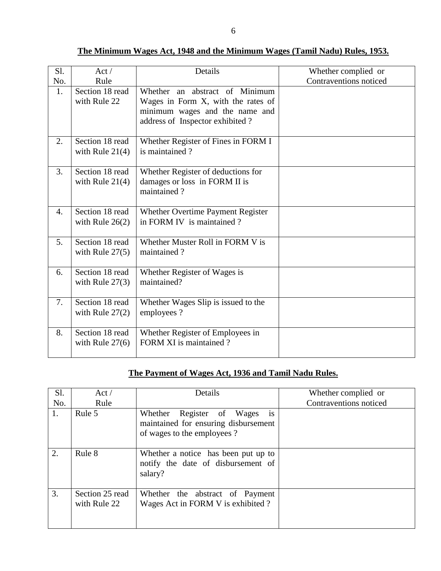| Sl. | Act/                                 | Details                                                                                                                                   | Whether complied or    |
|-----|--------------------------------------|-------------------------------------------------------------------------------------------------------------------------------------------|------------------------|
| No. | Rule                                 |                                                                                                                                           | Contraventions noticed |
| 1.  | Section 18 read<br>with Rule 22      | Whether an abstract of Minimum<br>Wages in Form X, with the rates of<br>minimum wages and the name and<br>address of Inspector exhibited? |                        |
| 2.  | Section 18 read<br>with Rule $21(4)$ | Whether Register of Fines in FORM I<br>is maintained?                                                                                     |                        |
| 3.  | Section 18 read<br>with Rule $21(4)$ | Whether Register of deductions for<br>damages or loss in FORM II is<br>maintained?                                                        |                        |
| 4.  | Section 18 read<br>with Rule $26(2)$ | Whether Overtime Payment Register<br>in FORM IV is maintained?                                                                            |                        |
| 5.  | Section 18 read<br>with Rule $27(5)$ | Whether Muster Roll in FORM V is<br>maintained?                                                                                           |                        |
| 6.  | Section 18 read<br>with Rule $27(3)$ | Whether Register of Wages is<br>maintained?                                                                                               |                        |
| 7.  | Section 18 read<br>with Rule $27(2)$ | Whether Wages Slip is issued to the<br>employees?                                                                                         |                        |
| 8.  | Section 18 read<br>with Rule $27(6)$ | Whether Register of Employees in<br>FORM XI is maintained?                                                                                |                        |

**The Minimum Wages Act, 1948 and the Minimum Wages (Tamil Nadu) Rules, 1953.**

### **The Payment of Wages Act, 1936 and Tamil Nadu Rules.**

| Sl.<br>No. | Act/<br>Rule                    | Details                                                                                                | Whether complied or<br>Contraventions noticed |
|------------|---------------------------------|--------------------------------------------------------------------------------------------------------|-----------------------------------------------|
| 1.         | Rule 5                          | is<br>Whether Register of Wages<br>maintained for ensuring disbursement<br>of wages to the employees ? |                                               |
| 2.         | Rule 8                          | Whether a notice has been put up to<br>notify the date of disbursement of<br>salary?                   |                                               |
| 3.         | Section 25 read<br>with Rule 22 | Whether the abstract of Payment<br>Wages Act in FORM V is exhibited?                                   |                                               |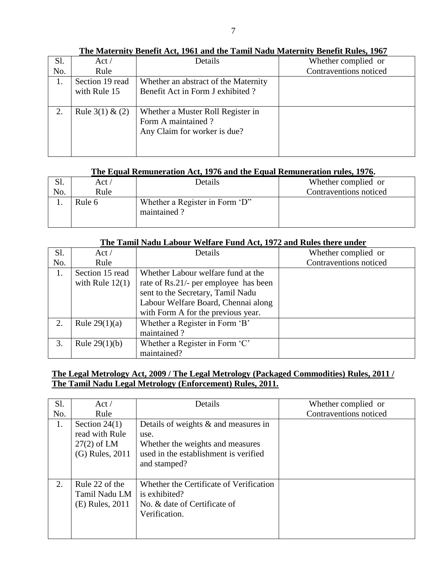| Sl. | Act/                | Details                              | Whether complied or    |
|-----|---------------------|--------------------------------------|------------------------|
| No. | Rule                |                                      | Contraventions noticed |
| 1.  | Section 19 read     | Whether an abstract of the Maternity |                        |
|     | with Rule 15        | Benefit Act in Form J exhibited?     |                        |
|     |                     |                                      |                        |
| 2.  | Rule $3(1)$ & $(2)$ | Whether a Muster Roll Register in    |                        |
|     |                     | Form A maintained?                   |                        |
|     |                     | Any Claim for worker is due?         |                        |
|     |                     |                                      |                        |
|     |                     |                                      |                        |

**The Maternity Benefit Act, 1961 and the Tamil Nadu Maternity Benefit Rules, 1967**

#### **The Equal Remuneration Act, 1976 and the Equal Remuneration rules, 1976.**

| ນ.  | Act /  | Details                                       | Whether complied or    |
|-----|--------|-----------------------------------------------|------------------------|
| No. | Rule   |                                               | Contraventions noticed |
|     | Rule 6 | Whether a Register in Form 'D"<br>maintained? |                        |

#### **The Tamil Nadu Labour Welfare Fund Act, 1972 and Rules there under**

| Sl. | Act/              | Details                               | Whether complied or    |
|-----|-------------------|---------------------------------------|------------------------|
| No. | Rule              |                                       | Contraventions noticed |
| 1.  | Section 15 read   | Whether Labour welfare fund at the    |                        |
|     | with Rule $12(1)$ | rate of Rs.21/- per employee has been |                        |
|     |                   | sent to the Secretary, Tamil Nadu     |                        |
|     |                   | Labour Welfare Board, Chennai along   |                        |
|     |                   | with Form A for the previous year.    |                        |
| 2.  | Rule $29(1)(a)$   | Whether a Register in Form 'B'        |                        |
|     |                   | maintained?                           |                        |
| 3.  | Rule $29(1)(b)$   | Whether a Register in Form 'C'        |                        |
|     |                   | maintained?                           |                        |

### **The Legal Metrology Act, 2009 / The Legal Metrology (Packaged Commodities) Rules, 2011 / The Tamil Nadu Legal Metrology (Enforcement) Rules, 2011.**

| Sl. | Act/                                                                  | Details                                                                                                                                      | Whether complied or    |
|-----|-----------------------------------------------------------------------|----------------------------------------------------------------------------------------------------------------------------------------------|------------------------|
| No. | Rule                                                                  |                                                                                                                                              | Contraventions noticed |
| 1.  | Section $24(1)$<br>read with Rule<br>$27(2)$ of LM<br>(G) Rules, 2011 | Details of weights $\&$ and measures in<br>use.<br>Whether the weights and measures<br>used in the establishment is verified<br>and stamped? |                        |
| 2.  | Rule 22 of the<br>Tamil Nadu LM<br>(E) Rules, 2011                    | Whether the Certificate of Verification<br>is exhibited?<br>No. & date of Certificate of<br>Verification.                                    |                        |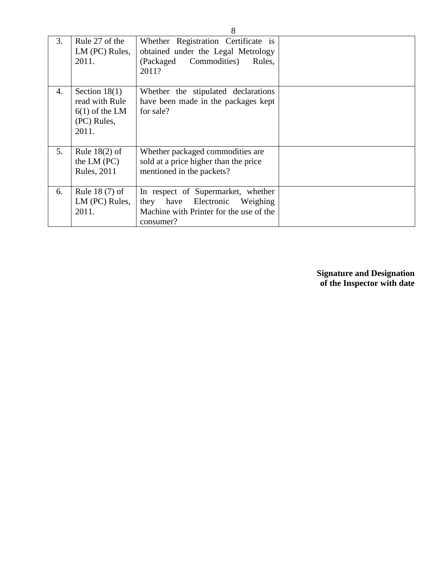| 3. | Rule 27 of the<br>LM (PC) Rules,<br>2011.                                     | Whether Registration Certificate is<br>obtained under the Legal Metrology<br>Commodities)<br>(Packaged)<br>Rules,<br>2011?     |  |
|----|-------------------------------------------------------------------------------|--------------------------------------------------------------------------------------------------------------------------------|--|
| 4. | Section $18(1)$<br>read with Rule<br>$6(1)$ of the LM<br>(PC) Rules,<br>2011. | Whether the stipulated declarations<br>have been made in the packages kept<br>for sale?                                        |  |
| 5. | Rule $18(2)$ of<br>the LM $(PC)$<br><b>Rules</b> , 2011                       | Whether packaged commodities are<br>sold at a price higher than the price<br>mentioned in the packets?                         |  |
| 6. | Rule $18(7)$ of<br>LM (PC) Rules,<br>2011.                                    | In respect of Supermarket, whether<br>they have Electronic<br>Weighing<br>Machine with Printer for the use of the<br>consumer? |  |

**Signature and Designation of the Inspector with date**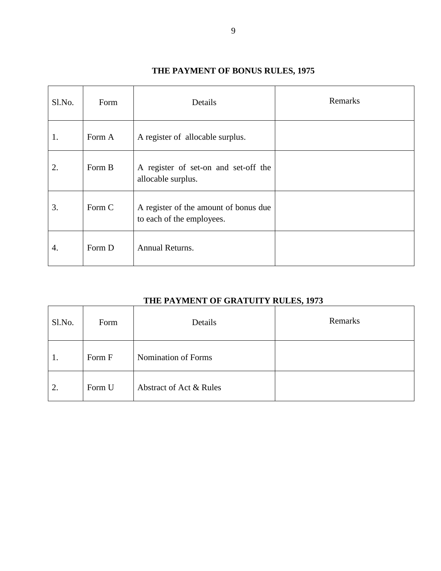### **THE PAYMENT OF BONUS RULES, 1975**

| Sl.No. | Form   | Details                                                            | Remarks |
|--------|--------|--------------------------------------------------------------------|---------|
| 1.     | Form A | A register of allocable surplus.                                   |         |
| 2.     | Form B | A register of set-on and set-off the<br>allocable surplus.         |         |
| 3.     | Form C | A register of the amount of bonus due<br>to each of the employees. |         |
| 4.     | Form D | Annual Returns.                                                    |         |

### **THE PAYMENT OF GRATUITY RULES, 1973**

| Sl.No. | Form   | Details                 | Remarks |
|--------|--------|-------------------------|---------|
| 1.     | Form F | Nomination of Forms     |         |
| 2.     | Form U | Abstract of Act & Rules |         |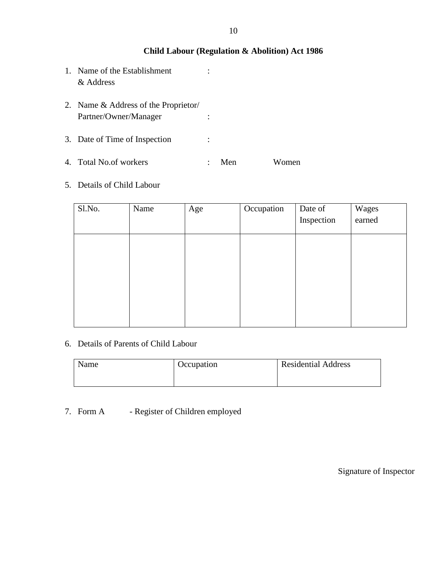#### **Child Labour (Regulation & Abolition) Act 1986**

- 1. Name of the Establishment : & Address
- 2. Name & Address of the Proprietor/ Partner/Owner/Manager :
- 3. Date of Time of Inspection :
- 4. Total No.of workers : Men Women

#### 5. Details of Child Labour

| Sl.No. | Name | Age | Occupation | Date of    | Wages  |
|--------|------|-----|------------|------------|--------|
|        |      |     |            | Inspection | earned |
|        |      |     |            |            |        |
|        |      |     |            |            |        |
|        |      |     |            |            |        |
|        |      |     |            |            |        |
|        |      |     |            |            |        |
|        |      |     |            |            |        |
|        |      |     |            |            |        |

#### 6. Details of Parents of Child Labour

| Name | Occupation | <b>Residential Address</b> |
|------|------------|----------------------------|
|      |            |                            |

### 7. Form A - Register of Children employed

Signature of Inspector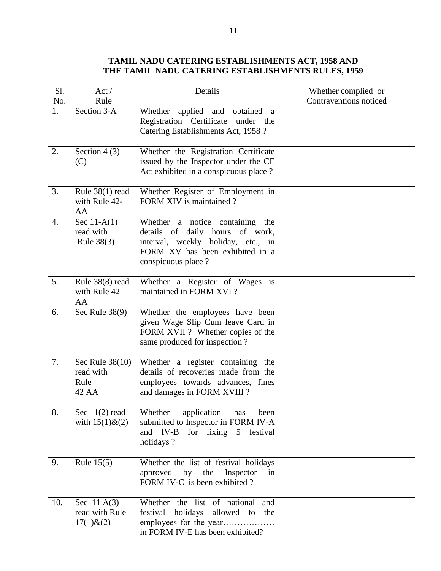#### **TAMIL NADU CATERING ESTABLISHMENTS ACT, 1958 AND THE TAMIL NADU CATERING ESTABLISHMENTS RULES, 1959**

| S1. | Act/                                               | Details                                                                                                                                                           | Whether complied or    |
|-----|----------------------------------------------------|-------------------------------------------------------------------------------------------------------------------------------------------------------------------|------------------------|
| No. | Rule                                               |                                                                                                                                                                   | Contraventions noticed |
| 1.  | Section 3-A                                        | Whether applied and<br>obtained<br><sub>a</sub><br>Registration Certificate<br>under the<br>Catering Establishments Act, 1958 ?                                   |                        |
| 2.  | Section $4(3)$<br>(C)                              | Whether the Registration Certificate<br>issued by the Inspector under the CE<br>Act exhibited in a conspicuous place?                                             |                        |
| 3.  | Rule $38(1)$ read<br>with Rule 42-<br>AA           | Whether Register of Employment in<br>FORM XIV is maintained?                                                                                                      |                        |
| 4.  | Sec $11-A(1)$<br>read with<br>Rule 38(3)           | Whether a notice containing the<br>details of daily hours of work,<br>interval, weekly holiday, etc., in<br>FORM XV has been exhibited in a<br>conspicuous place? |                        |
| 5.  | Rule 38(8) read<br>with Rule 42<br>AA              | Whether a Register of Wages is<br>maintained in FORM XVI?                                                                                                         |                        |
| 6.  | Sec Rule $38(9)$                                   | Whether the employees have been<br>given Wage Slip Cum leave Card in<br>FORM XVII ? Whether copies of the<br>same produced for inspection?                        |                        |
| 7.  | Sec Rule 38(10)<br>read with<br>Rule<br>42 AA      | Whether a register containing the<br>details of recoveries made from the<br>employees towards advances, fines<br>and damages in FORM XVIII?                       |                        |
| 8.  | Sec $11(2)$ read<br>with $15(1)$ & (2)             | application<br>Whether<br>has<br>been<br>submitted to Inspector in FORM IV-A<br>for fixing 5 festival<br>and IV-B<br>holidays?                                    |                        |
| 9.  | Rule $15(5)$                                       | Whether the list of festival holidays<br>by<br>the<br>Inspector<br>approved<br>in<br>FORM IV-C is been exhibited?                                                 |                        |
| 10. | Sec 11 $A(3)$<br>read with Rule<br>$17(1)$ & $(2)$ | Whether the list of national<br>and<br>holidays<br>allowed to<br>festival<br>the<br>employees for the year<br>in FORM IV-E has been exhibited?                    |                        |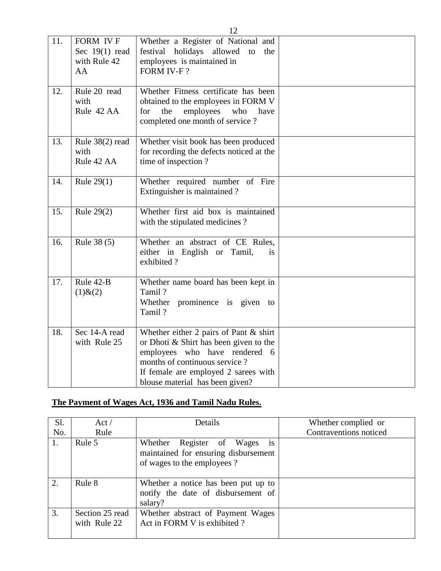| 11. | FORM IVF<br>Sec 19(1) read<br>with Rule 42<br>AA | Whether a Register of National and<br>festival holidays allowed to<br>the<br>employees is maintained in<br>FORM IV-F?                                                                                                            |  |
|-----|--------------------------------------------------|----------------------------------------------------------------------------------------------------------------------------------------------------------------------------------------------------------------------------------|--|
| 12. | Rule 20 read<br>with<br>Rule 42 AA               | Whether Fitness certificate has been<br>obtained to the employees in FORM V<br>employees<br>the<br>who<br>for<br>have<br>completed one month of service?                                                                         |  |
| 13. | Rule 38(2) read<br>with<br>Rule 42 AA            | Whether visit book has been produced<br>for recording the defects noticed at the<br>time of inspection?                                                                                                                          |  |
| 14. | Rule $29(1)$                                     | Whether required number of Fire<br>Extinguisher is maintained?                                                                                                                                                                   |  |
| 15. | Rule 29(2)                                       | Whether first aid box is maintained<br>with the stipulated medicines?                                                                                                                                                            |  |
| 16. | Rule 38 (5)                                      | Whether an abstract of CE Rules,<br>either in English or Tamil,<br>is<br>exhibited?                                                                                                                                              |  |
| 17. | Rule 42-B<br>$(1)$ & $(2)$                       | Whether name board has been kept in<br>Tamil?<br>Whether prominence is given to<br>Tamil?                                                                                                                                        |  |
| 18. | Sec 14-A read<br>with Rule 25                    | Whether either 2 pairs of Pant $\&$ shirt<br>or Dhoti & Shirt has been given to the<br>employees who have rendered 6<br>months of continuous service?<br>If female are employed 2 sarees with<br>blouse material has been given? |  |

# **The Payment of Wages Act, 1936 and Tamil Nadu Rules.**

| Sl. | Act/                            | Details                                                                                                            | Whether complied or    |
|-----|---------------------------------|--------------------------------------------------------------------------------------------------------------------|------------------------|
| No. | Rule                            |                                                                                                                    | Contraventions noticed |
| 1.  | Rule 5                          | Whether Register of Wages<br>$\overline{1}S$<br>maintained for ensuring disbursement<br>of wages to the employees? |                        |
| 2.  | Rule 8                          | Whether a notice has been put up to<br>notify the date of disbursement of<br>salary?                               |                        |
| 3.  | Section 25 read<br>with Rule 22 | Whether abstract of Payment Wages<br>Act in FORM V is exhibited?                                                   |                        |

12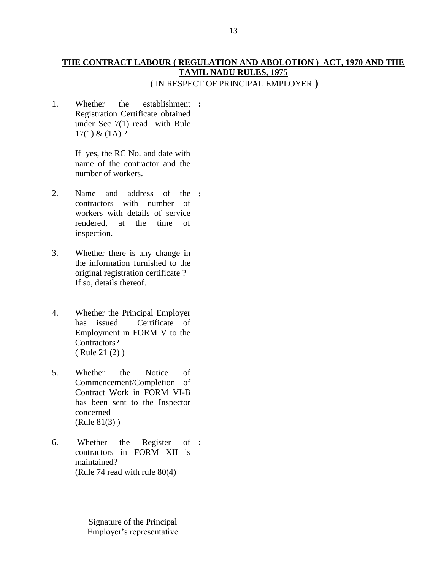#### **THE CONTRACT LABOUR ( REGULATION AND ABOLOTION ) ACT, 1970 AND THE TAMIL NADU RULES, 1975** ( IN RESPECT OF PRINCIPAL EMPLOYER **)**

1. Whether the establishment **:** Registration Certificate obtained under Sec 7(1) read with Rule  $17(1) & (1A)$ ?

> If yes, the RC No. and date with name of the contractor and the number of workers.

- 2. Name and address of the **:** contractors with number of workers with details of service rendered, at the time of inspection.
- 3. Whether there is any change in the information furnished to the original registration certificate ? If so, details thereof.
- 4. Whether the Principal Employer has issued Certificate of Employment in FORM V to the Contractors? ( Rule 21 (2) )
- 5. Whether the Notice of Commencement/Completion of Contract Work in FORM VI-B has been sent to the Inspector concerned (Rule 81(3) )
- 6. Whether the Register contractors in FORM XII is maintained? (Rule 74 read with rule 80(4) **:**

Signature of the Principal Employer's representative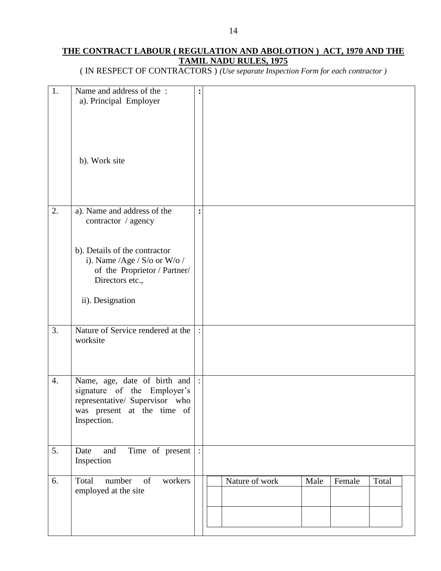### **THE CONTRACT LABOUR ( REGULATION AND ABOLOTION ) ACT, 1970 AND THE TAMIL NADU RULES, 1975**

( IN RESPECT OF CONTRACTORS ) *(Use separate Inspection Form for each contractor )*

| 1.               | Name and address of the:<br>a). Principal Employer<br>b). Work site                                                                                                                        | :              |                                           |
|------------------|--------------------------------------------------------------------------------------------------------------------------------------------------------------------------------------------|----------------|-------------------------------------------|
| 2.               | a). Name and address of the<br>contractor / agency<br>b). Details of the contractor<br>i). Name /Age / S/o or W/o /<br>of the Proprietor / Partner/<br>Directors etc.,<br>ii). Designation | $\ddot{\cdot}$ |                                           |
| 3.               | Nature of Service rendered at the<br>worksite                                                                                                                                              |                |                                           |
| $\overline{4}$ . | Name, age, date of birth and<br>signature of the Employer's<br>representative/ Supervisor who<br>was present at the time of<br>Inspection.                                                 | $\sim$         |                                           |
| 5.               | Time of present :<br>Date<br>and<br>Inspection                                                                                                                                             |                |                                           |
| 6.               | Total<br>number<br>of<br>workers<br>employed at the site                                                                                                                                   |                | Nature of work<br>Total<br>Male<br>Female |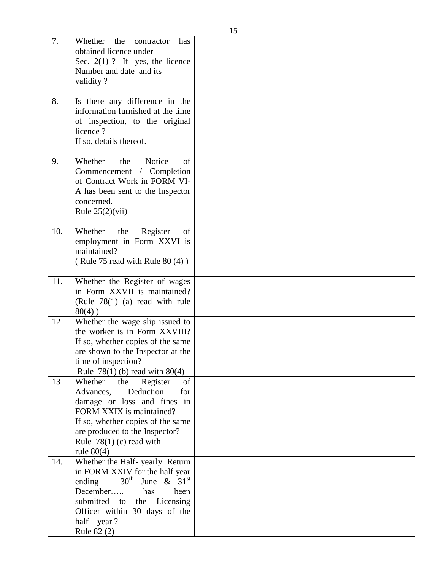|     |                                                                                                                                                                                                                                                     | 15 |
|-----|-----------------------------------------------------------------------------------------------------------------------------------------------------------------------------------------------------------------------------------------------------|----|
| 7.  | Whether<br>the<br>contractor<br>has<br>obtained licence under<br>Sec. $12(1)$ ? If yes, the licence<br>Number and date and its<br>validity?                                                                                                         |    |
| 8.  | Is there any difference in the<br>information furnished at the time<br>of inspection, to the original<br>licence?<br>If so, details thereof.                                                                                                        |    |
| 9.  | Whether<br>Notice<br>the<br>of<br>Commencement / Completion<br>of Contract Work in FORM VI-<br>A has been sent to the Inspector<br>concerned.<br>Rule $25(2)(vii)$                                                                                  |    |
| 10. | Whether<br>the<br>Register<br>of<br>employment in Form XXVI is<br>maintained?<br>(Rule 75 read with Rule 80 (4))                                                                                                                                    |    |
| 11. | Whether the Register of wages<br>in Form XXVII is maintained?<br>(Rule $78(1)$ (a) read with rule<br>$80(4)$ )                                                                                                                                      |    |
| 12  | Whether the wage slip issued to<br>the worker is in Form XXVIII?<br>If so, whether copies of the same<br>are shown to the Inspector at the<br>time of inspection?<br>Rule $78(1)$ (b) read with $80(4)$                                             |    |
| 13  | Whether<br>the<br>Register<br>of<br>Advances,<br>Deduction<br>for<br>damage or loss and fines in<br>FORM XXIX is maintained?<br>If so, whether copies of the same<br>are produced to the Inspector?<br>Rule $78(1)$ (c) read with<br>rule $80(4)$   |    |
| 14. | Whether the Half- yearly Return<br>in FORM XXIV for the half year<br>$30^{\text{th}}$ June & $31^{\text{st}}$<br>ending<br>December<br>been<br>has<br>submitted to the Licensing<br>Officer within 30 days of the<br>half – year $?$<br>Rule 82 (2) |    |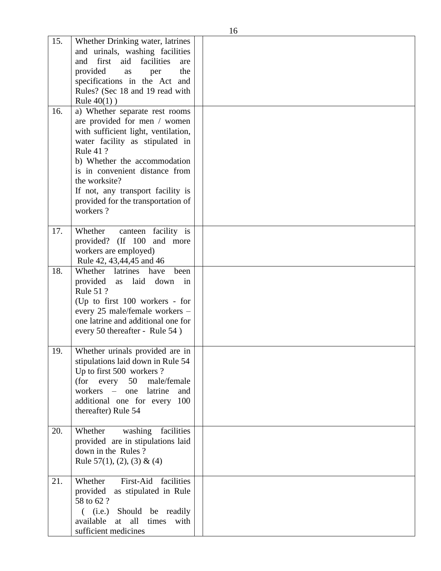| 15. | Whether Drinking water, latrines<br>and urinals, washing facilities   |  |
|-----|-----------------------------------------------------------------------|--|
|     | first<br>and<br>aid<br>facilities<br>are                              |  |
|     | provided<br>the<br>as<br>per<br>specifications in the Act and         |  |
|     | Rules? (Sec 18 and 19 read with                                       |  |
|     | Rule $40(1)$ )                                                        |  |
| 16. | a) Whether separate rest rooms                                        |  |
|     | are provided for men / women                                          |  |
|     | with sufficient light, ventilation,                                   |  |
|     | water facility as stipulated in                                       |  |
|     | Rule 41 ?                                                             |  |
|     | b) Whether the accommodation<br>is in convenient distance from        |  |
|     | the worksite?                                                         |  |
|     | If not, any transport facility is                                     |  |
|     | provided for the transportation of                                    |  |
|     | workers?                                                              |  |
|     |                                                                       |  |
| 17. | Whether<br>canteen facility is<br>provided? (If 100 and more          |  |
|     | workers are employed)                                                 |  |
|     | Rule 42, 43,44,45 and 46                                              |  |
| 18. | Whether latrines have<br>been                                         |  |
|     | provided<br>laid<br>down<br>as<br>in                                  |  |
|     | Rule 51 ?                                                             |  |
|     | (Up to first 100 workers - for<br>every 25 male/female workers -      |  |
|     | one latrine and additional one for                                    |  |
|     | every 50 thereafter - Rule 54)                                        |  |
|     |                                                                       |  |
| 19. | Whether urinals provided are in                                       |  |
|     | stipulations laid down in Rule 54                                     |  |
|     | Up to first 500 workers ?<br>(for every<br>50<br>male/female          |  |
|     | workers – one<br>latrine<br>and                                       |  |
|     | additional one for every 100                                          |  |
|     | thereafter) Rule 54                                                   |  |
|     |                                                                       |  |
| 20. | facilities<br>Whether<br>washing<br>provided are in stipulations laid |  |
|     | down in the Rules?                                                    |  |
|     | Rule 57(1), (2), (3) & (4)                                            |  |
|     |                                                                       |  |
| 21. | First-Aid<br>facilities<br>Whether                                    |  |
|     | provided<br>as stipulated in Rule                                     |  |
|     | 58 to 62 ?<br>( (i.e.) Should be readily                              |  |
|     | at all times with<br>available                                        |  |
|     | sufficient medicines                                                  |  |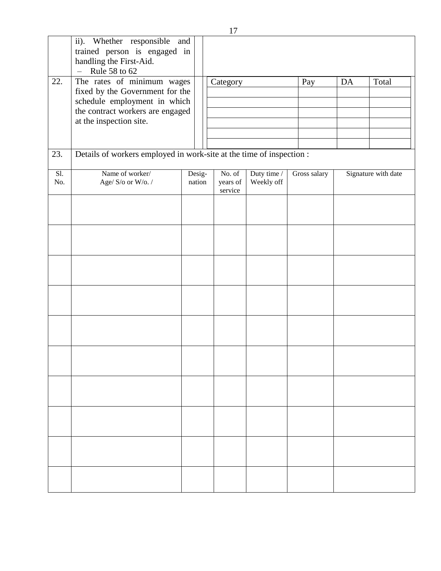| 22.        | ii). Whether responsible and<br>trained person is engaged in<br>handling the First-Aid.<br>Rule 58 to 62<br>$\frac{1}{2}$<br>The rates of minimum wages<br>fixed by the Government for the<br>schedule employment in which<br>the contract workers are engaged<br>at the inspection site. |                  | . .<br>Category               |                           | Pay          | DA | Total               |
|------------|-------------------------------------------------------------------------------------------------------------------------------------------------------------------------------------------------------------------------------------------------------------------------------------------|------------------|-------------------------------|---------------------------|--------------|----|---------------------|
| 23.        | Details of workers employed in work-site at the time of inspection :                                                                                                                                                                                                                      |                  |                               |                           |              |    |                     |
| SI.<br>No. | Name of worker/<br>Age/ S/o or W/o./                                                                                                                                                                                                                                                      | Desig-<br>nation | No. of<br>years of<br>service | Duty time /<br>Weekly off | Gross salary |    | Signature with date |
|            |                                                                                                                                                                                                                                                                                           |                  |                               |                           |              |    |                     |
|            |                                                                                                                                                                                                                                                                                           |                  |                               |                           |              |    |                     |
|            |                                                                                                                                                                                                                                                                                           |                  |                               |                           |              |    |                     |
|            |                                                                                                                                                                                                                                                                                           |                  |                               |                           |              |    |                     |
|            |                                                                                                                                                                                                                                                                                           |                  |                               |                           |              |    |                     |
|            |                                                                                                                                                                                                                                                                                           |                  |                               |                           |              |    |                     |
|            |                                                                                                                                                                                                                                                                                           |                  |                               |                           |              |    |                     |
|            |                                                                                                                                                                                                                                                                                           |                  |                               |                           |              |    |                     |
|            |                                                                                                                                                                                                                                                                                           |                  |                               |                           |              |    |                     |
|            |                                                                                                                                                                                                                                                                                           |                  |                               |                           |              |    |                     |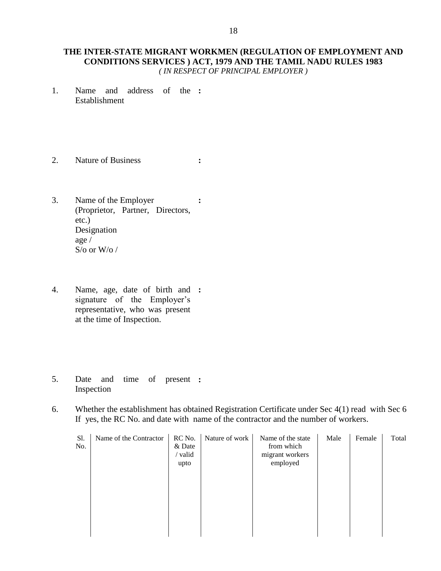#### **THE INTER-STATE MIGRANT WORKMEN (REGULATION OF EMPLOYMENT AND CONDITIONS SERVICES ) ACT, 1979 AND THE TAMIL NADU RULES 1983** *( IN RESPECT OF PRINCIPAL EMPLOYER )*

- 1. Name and address of the **:** Establishment
- 2. Nature of Business **:**
- 3. Name of the Employer (Proprietor, Partner, Directors, etc.) Designation age / S/o or W/o / **:**
- 4. Name, age, date of birth and **:** signature of the Employer's representative, who was present at the time of Inspection.
- 5. Date and time of present **:** Inspection
- 6. Whether the establishment has obtained Registration Certificate under Sec 4(1) read with Sec 6 If yes, the RC No. and date with name of the contractor and the number of workers.

| Sl.<br>No. | Name of the Contractor | RC No.<br>& Date<br>/ valid<br>upto | Nature of work | Name of the state<br>from which<br>migrant workers<br>employed | Male | Female | Total |
|------------|------------------------|-------------------------------------|----------------|----------------------------------------------------------------|------|--------|-------|
|            |                        |                                     |                |                                                                |      |        |       |
|            |                        |                                     |                |                                                                |      |        |       |
|            |                        |                                     |                |                                                                |      |        |       |
|            |                        |                                     |                |                                                                |      |        |       |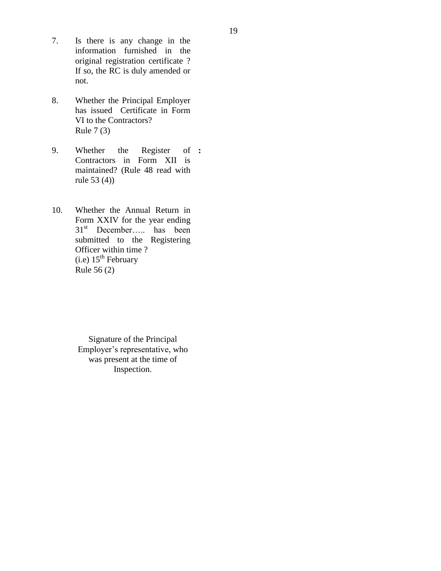- 7. Is there is any change in the information furnished in the original registration certificate ? If so, the RC is duly amended or not.
- 8. Whether the Principal Employer has issued Certificate in Form VI to the Contractors? Rule 7 (3)
- 9. Whether the Register Contractors in Form XII is maintained? (Rule 48 read with rule 53 (4)) **:**
- 10. Whether the Annual Return in Form XXIV for the year ending  $31<sup>st</sup>$  December.... has been submitted to the Registering Officer within time ?  $(i.e)$  15<sup>th</sup> February Rule 56 (2)

Signature of the Principal Employer's representative, who was present at the time of Inspection.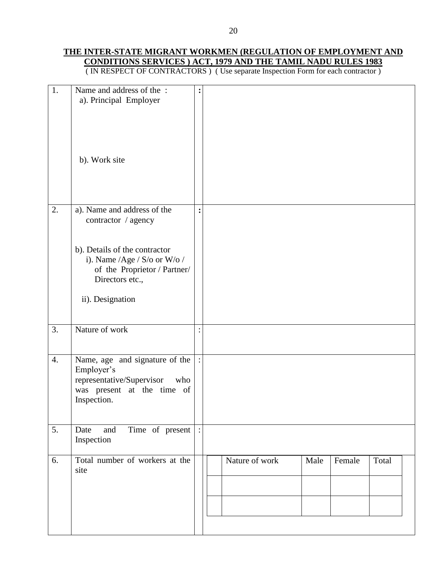### **THE INTER-STATE MIGRANT WORKMEN (REGULATION OF EMPLOYMENT AND CONDITIONS SERVICES ) ACT, 1979 AND THE TAMIL NADU RULES 1983**

( IN RESPECT OF CONTRACTORS ) ( Use separate Inspection Form for each contractor )

| 1.               | Name and address of the :<br>a). Principal Employer<br>b). Work site                                                          | :              |                                           |
|------------------|-------------------------------------------------------------------------------------------------------------------------------|----------------|-------------------------------------------|
|                  |                                                                                                                               |                |                                           |
| 2.               | a). Name and address of the<br>contractor / agency                                                                            | $\ddot{\cdot}$ |                                           |
|                  | b). Details of the contractor<br>i). Name /Age / S/o or W/o /<br>of the Proprietor / Partner/<br>Directors etc.,              |                |                                           |
|                  | ii). Designation                                                                                                              |                |                                           |
| 3.               | Nature of work                                                                                                                |                |                                           |
| $\overline{4}$ . | Name, age and signature of the<br>Employer's<br>representative/Supervisor<br>who<br>was present at the time of<br>Inspection. |                |                                           |
| 5.               | Time of present<br>Date<br>and<br>Inspection                                                                                  |                |                                           |
| 6.               | Total number of workers at the<br>site                                                                                        |                | Nature of work<br>Male<br>Female<br>Total |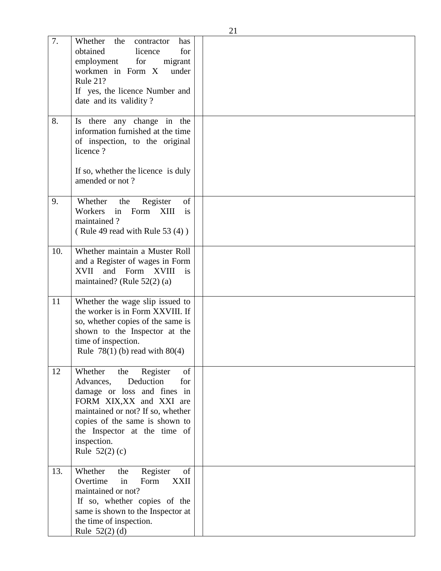| 7.  | Whether<br>the<br>has<br>contractor<br>obtained<br>for<br>licence<br>employment<br>for<br>migrant<br>workmen in Form X<br>under<br>Rule 21?<br>If yes, the licence Number and<br>date and its validity?                                                                        |  |
|-----|--------------------------------------------------------------------------------------------------------------------------------------------------------------------------------------------------------------------------------------------------------------------------------|--|
| 8.  | Is there any change in the<br>information furnished at the time<br>of inspection, to the original<br>licence?<br>If so, whether the licence is duly<br>amended or not?                                                                                                         |  |
| 9.  | of<br>Whether<br>the<br>Register<br>Workers<br>Form XIII<br>in<br>is<br>maintained?<br>(Rule 49 read with Rule 53 (4))                                                                                                                                                         |  |
| 10. | Whether maintain a Muster Roll<br>and a Register of wages in Form<br>XVII and Form XVIII<br>is<br>maintained? (Rule $52(2)$ (a)                                                                                                                                                |  |
| 11  | Whether the wage slip issued to<br>the worker is in Form XXVIII. If<br>so, whether copies of the same is<br>shown to the Inspector at the<br>time of inspection.<br>Rule $78(1)$ (b) read with $80(4)$                                                                         |  |
| 12  | <sub>of</sub><br>Whether<br>the Register<br>Deduction<br>Advances,<br>for<br>damage or loss and fines in<br>FORM XIX, XX and XXI are<br>maintained or not? If so, whether<br>copies of the same is shown to<br>the Inspector at the time of<br>inspection.<br>Rule $52(2)$ (c) |  |
| 13. | of<br>Register<br>Whether<br>the<br>Overtime<br>Form<br><b>XXII</b><br>in<br>maintained or not?<br>If so, whether copies of the<br>same is shown to the Inspector at<br>the time of inspection.<br>Rule $52(2)$ (d)                                                            |  |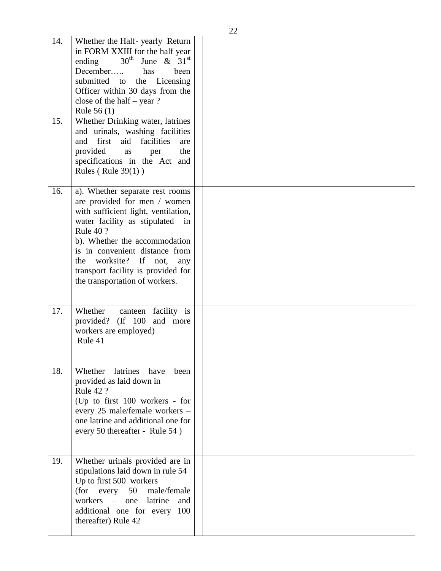| 14. | Whether the Half-yearly Return<br>in FORM XXIII for the half year<br>$30^{\text{th}}$<br>June & $31st$<br>ending<br>December<br>has<br>been<br>submitted to the Licensing<br>Officer within 30 days from the<br>close of the half $-$ year ?<br>Rule 56 (1)                                                                                          |  |
|-----|------------------------------------------------------------------------------------------------------------------------------------------------------------------------------------------------------------------------------------------------------------------------------------------------------------------------------------------------------|--|
| 15. | Whether Drinking water, latrines<br>and urinals, washing facilities<br>and first aid facilities<br>are<br>provided<br>the<br>as<br>per<br>specifications in the Act and<br>Rules (Rule $39(1)$ )                                                                                                                                                     |  |
| 16. | a). Whether separate rest rooms<br>are provided for men / women<br>with sufficient light, ventilation,<br>water facility as stipulated<br>in<br><b>Rule 40 ?</b><br>b). Whether the accommodation<br>is in convenient distance from<br>worksite?<br>the<br>If<br>not,<br>any<br>transport facility is provided for<br>the transportation of workers. |  |
| 17. | Whether<br>canteen facility is<br>provided? (If 100<br>and more<br>workers are employed)<br>Rule 41                                                                                                                                                                                                                                                  |  |
| 18. | Whether latrines have<br>been<br>provided as laid down in<br><b>Rule 42 ?</b><br>(Up to first 100 workers - for<br>every 25 male/female workers -<br>one latrine and additional one for<br>every 50 thereafter - Rule 54)                                                                                                                            |  |
| 19. | Whether urinals provided are in<br>stipulations laid down in rule 54<br>Up to first 500 workers<br>(for every<br>50 male/female<br>workers – one<br>latrine<br>and<br>additional one for every 100<br>thereafter) Rule 42                                                                                                                            |  |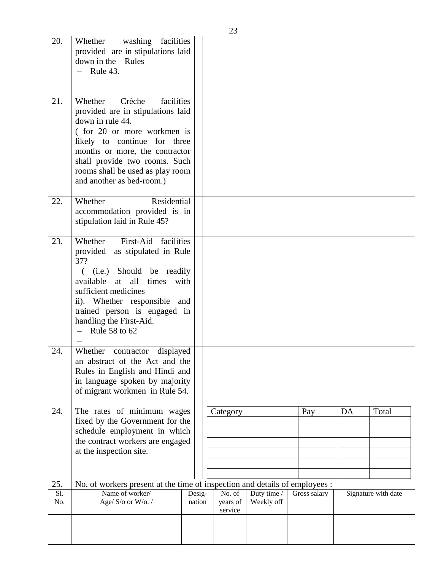| 20.        | washing facilities<br>Whether<br>provided are in stipulations laid<br>down in the Rules<br>Rule 43.                                                                                                                                                                                        |                  |                               |                           |              |    |                     |
|------------|--------------------------------------------------------------------------------------------------------------------------------------------------------------------------------------------------------------------------------------------------------------------------------------------|------------------|-------------------------------|---------------------------|--------------|----|---------------------|
| 21.        | Whether<br>Crèche<br>facilities<br>provided are in stipulations laid<br>down in rule 44.<br>(for 20 or more workmen is<br>likely to continue for three<br>months or more, the contractor<br>shall provide two rooms. Such<br>rooms shall be used as play room<br>and another as bed-room.) |                  |                               |                           |              |    |                     |
| 22.        | Residential<br>Whether<br>accommodation provided is in<br>stipulation laid in Rule 45?                                                                                                                                                                                                     |                  |                               |                           |              |    |                     |
| 23.        | First-Aid facilities<br>Whether<br>provided<br>as stipulated in Rule<br>37?<br>((i.e.) Should be readily<br>all<br>available<br>at<br>times<br>with<br>sufficient medicines<br>ii). Whether responsible and<br>trained person is engaged in<br>handling the First-Aid.<br>Rule 58 to 62    |                  |                               |                           |              |    |                     |
| 24.        | Whether<br>displayed<br>contractor<br>an abstract of the Act and the<br>Rules in English and Hindi and<br>in language spoken by majority<br>of migrant workmen in Rule 54.                                                                                                                 |                  |                               |                           |              |    |                     |
| 24.        | The rates of minimum wages<br>fixed by the Government for the<br>schedule employment in which<br>the contract workers are engaged<br>at the inspection site.                                                                                                                               |                  | Category                      |                           | Pay          | DA | Total               |
| 25.        | No. of workers present at the time of inspection and details of employees :                                                                                                                                                                                                                |                  |                               |                           |              |    |                     |
| S1.<br>No. | Name of worker/<br>Age/ S/o or W/o./                                                                                                                                                                                                                                                       | Desig-<br>nation | No. of<br>years of<br>service | Duty time /<br>Weekly off | Gross salary |    | Signature with date |
|            |                                                                                                                                                                                                                                                                                            |                  |                               |                           |              |    |                     |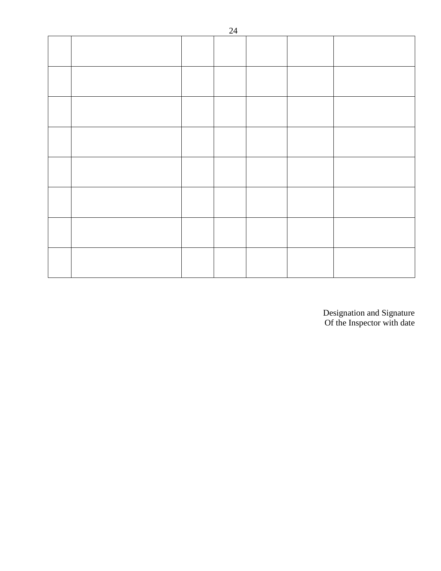|  | - - |  |  |
|--|-----|--|--|
|  |     |  |  |
|  |     |  |  |
|  |     |  |  |
|  |     |  |  |
|  |     |  |  |
|  |     |  |  |
|  |     |  |  |
|  |     |  |  |
|  |     |  |  |
|  |     |  |  |
|  |     |  |  |
|  |     |  |  |
|  |     |  |  |
|  |     |  |  |
|  |     |  |  |
|  |     |  |  |
|  |     |  |  |
|  |     |  |  |
|  |     |  |  |
|  |     |  |  |
|  |     |  |  |
|  |     |  |  |
|  |     |  |  |
|  |     |  |  |

Designation and Signature Of the Inspector with date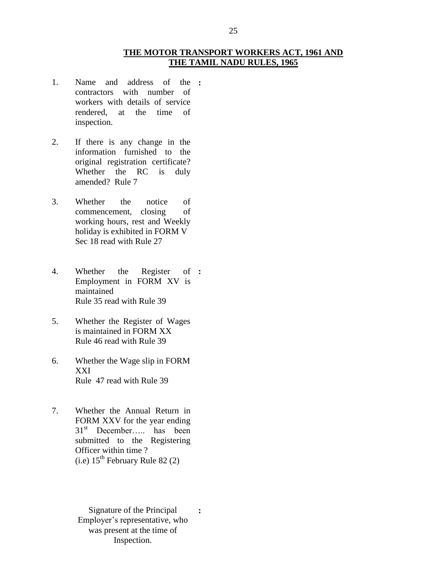#### **THE MOTOR TRANSPORT WORKERS ACT, 1961 AND THE TAMIL NADU RULES, 1965**

- 1. Name and address of the **:** contractors with number of workers with details of service rendered, at the time of inspection.
- 2. If there is any change in the information furnished to the original registration certificate? Whether the RC is duly amended? Rule 7
- 3. Whether the notice of commencement, closing of working hours, rest and Weekly holiday is exhibited in FORM V Sec 18 read with Rule 27
- 4. Whether the Register of **:** Employment in FORM XV is maintained Rule 35 read with Rule 39
- 5. Whether the Register of Wages is maintained in FORM XX Rule 46 read with Rule 39
- 6. Whether the Wage slip in FORM XXI Rule 47 read with Rule 39
- 7. Whether the Annual Return in FORM XXV for the year ending 31<sup>st</sup> December….. has been submitted to the Registering Officer within time ?  $(i.e)$  15<sup>th</sup> February Rule 82 (2)
	- Signature of the Principal Employer's representative, who was present at the time of Inspection. **:**